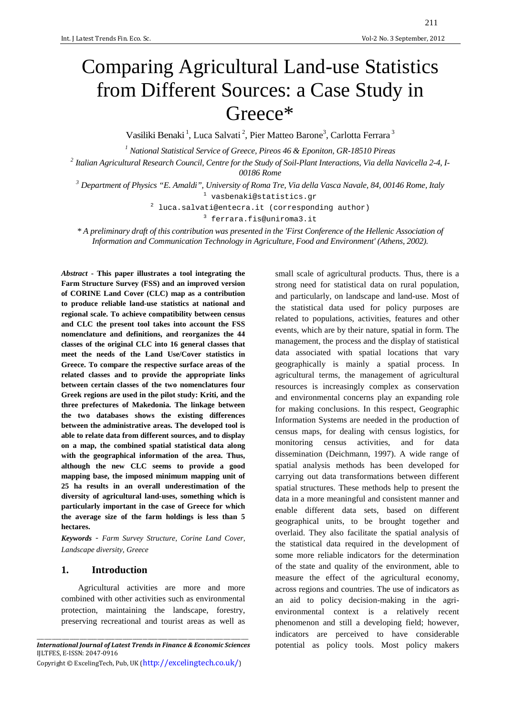# Comparing Agricultural Land-use Statistics from Different Sources: a Case Study in Greece\*

Vasiliki Benaki<sup>1</sup>, Luca Salvati<sup>2</sup>, Pier Matteo Barone<sup>3</sup>, Carlotta Ferrara<sup>3</sup>

*1 National Statistical Service of Greece, Pireos 46 & Eponiton, GR-18510 Pireas* 

*2 Italian Agricultural Research Council, Centre for the Study of Soil-Plant Interactions, Via della Navicella 2-4, I-*

*00186 Rome* 

*<sup>3</sup> Department of Physics "E. Amaldi", University of Roma Tre, Via della Vasca Navale, 84, 00146 Rome, Italy* 

<sup>1</sup> vasbenaki@statistics.gr

 $2$  luca.salvati@entecra.it (corresponding author)

<sup>3</sup> ferrara.fis@uniroma3.it

*\* A preliminary draft of this contribution was presented in the 'First Conference of the Hellenic Association of Information and Communication Technology in Agriculture, Food and Environment' (Athens, 2002).*

*Abstract* **- This paper illustrates a tool integrating the Farm Structure Survey (FSS) and an improved version of CORINE Land Cover (CLC) map as a contribution to produce reliable land-use statistics at national and regional scale. To achieve compatibility between census and CLC the present tool takes into account the FSS nomenclature and definitions, and reorganizes the 44 classes of the original CLC into 16 general classes that meet the needs of the Land Use/Cover statistics in Greece. To compare the respective surface areas of the related classes and to provide the appropriate links between certain classes of the two nomenclatures four Greek regions are used in the pilot study: Kriti, and the three prefectures of Makedonia. The linkage between the two databases shows the existing differences between the administrative areas. The developed tool is able to relate data from different sources, and to display on a map, the combined spatial statistical data along with the geographical information of the area. Thus, although the new CLC seems to provide a good mapping base, the imposed minimum mapping unit of 25 ha results in an overall underestimation of the diversity of agricultural land-uses, something which is particularly important in the case of Greece for which the average size of the farm holdings is less than 5 hectares.** 

*Keywords* - *Farm Survey Structure, Corine Land Cover, Landscape diversity, Greece* 

#### **1. Introduction**

Agricultural activities are more and more combined with other activities such as environmental protection, maintaining the landscape, forestry, preserving recreational and tourist areas as well as

\_\_\_\_\_\_\_\_\_\_\_\_\_\_\_\_\_\_\_\_\_\_\_\_\_\_\_\_\_\_\_\_\_\_\_\_\_\_\_\_\_\_\_\_\_\_\_\_\_\_\_\_\_\_\_\_\_\_\_\_\_\_\_\_\_\_\_\_\_\_\_\_\_\_\_\_\_\_\_\_\_\_\_\_ *International Journal of Latest Trends in Finance & Economic Sciences*  IJLTFES, E-ISSN: 2047-0916

Copyright © ExcelingTech, Pub, UK (http://excelingtech.co.uk/)

small scale of agricultural products. Thus, there is a strong need for statistical data on rural population, and particularly, on landscape and land-use. Most of the statistical data used for policy purposes are related to populations, activities, features and other events, which are by their nature, spatial in form. The management, the process and the display of statistical data associated with spatial locations that vary geographically is mainly a spatial process. In agricultural terms, the management of agricultural resources is increasingly complex as conservation and environmental concerns play an expanding role for making conclusions. In this respect, Geographic Information Systems are needed in the production of census maps, for dealing with census logistics, for monitoring census activities, and for data dissemination (Deichmann, 1997). A wide range of spatial analysis methods has been developed for carrying out data transformations between different spatial structures. These methods help to present the data in a more meaningful and consistent manner and enable different data sets, based on different geographical units, to be brought together and overlaid. They also facilitate the spatial analysis of the statistical data required in the development of some more reliable indicators for the determination of the state and quality of the environment, able to measure the effect of the agricultural economy, across regions and countries. The use of indicators as an aid to policy decision-making in the agrienvironmental context is a relatively recent phenomenon and still a developing field; however, indicators are perceived to have considerable potential as policy tools. Most policy makers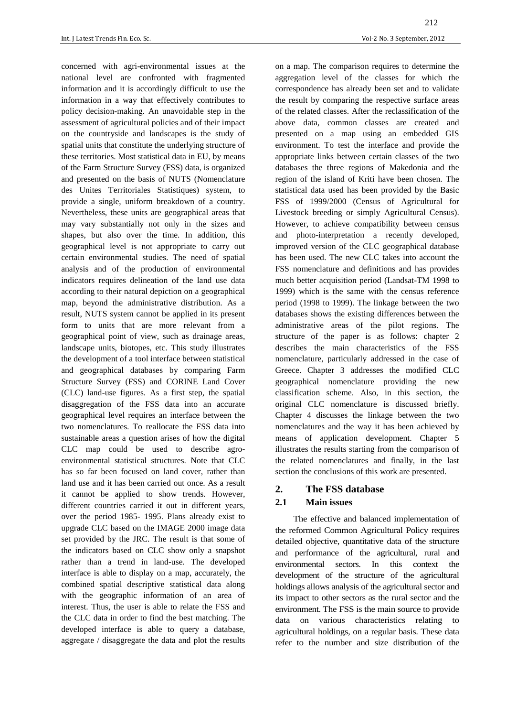concerned with agri-environmental issues at the national level are confronted with fragmented information and it is accordingly difficult to use the information in a way that effectively contributes to policy decision-making. An unavoidable step in the assessment of agricultural policies and of their impact on the countryside and landscapes is the study of spatial units that constitute the underlying structure of these territories. Most statistical data in EU, by means of the Farm Structure Survey (FSS) data, is organized and presented on the basis of NUTS (Nomenclature des Unites Territoriales Statistiques) system, to provide a single, uniform breakdown of a country. Nevertheless, these units are geographical areas that may vary substantially not only in the sizes and shapes, but also over the time. In addition, this geographical level is not appropriate to carry out certain environmental studies. The need of spatial analysis and of the production of environmental indicators requires delineation of the land use data according to their natural depiction on a geographical map, beyond the administrative distribution. As a result, NUTS system cannot be applied in its present form to units that are more relevant from a geographical point of view, such as drainage areas, landscape units, biotopes, etc. This study illustrates the development of a tool interface between statistical and geographical databases by comparing Farm Structure Survey (FSS) and CORINE Land Cover (CLC) land-use figures. As a first step, the spatial disaggregation of the FSS data into an accurate geographical level requires an interface between the two nomenclatures. To reallocate the FSS data into sustainable areas a question arises of how the digital CLC map could be used to describe agroenvironmental statistical structures. Note that CLC has so far been focused on land cover, rather than land use and it has been carried out once. As a result it cannot be applied to show trends. However, different countries carried it out in different years, over the period 1985- 1995. Plans already exist to upgrade CLC based on the IMAGE 2000 image data set provided by the JRC. The result is that some of the indicators based on CLC show only a snapshot rather than a trend in land-use. The developed interface is able to display on a map, accurately, the combined spatial descriptive statistical data along with the geographic information of an area of interest. Thus, the user is able to relate the FSS and the CLC data in order to find the best matching. The

developed interface is able to query a database, aggregate / disaggregate the data and plot the results on a map. The comparison requires to determine the aggregation level of the classes for which the correspondence has already been set and to validate the result by comparing the respective surface areas of the related classes. After the reclassification of the above data, common classes are created and presented on a map using an embedded GIS environment. To test the interface and provide the appropriate links between certain classes of the two databases the three regions of Makedonia and the region of the island of Kriti have been chosen. The statistical data used has been provided by the Basic FSS of 1999/2000 (Census of Agricultural for Livestock breeding or simply Agricultural Census). However, to achieve compatibility between census and photo-interpretation a recently developed, improved version of the CLC geographical database has been used. The new CLC takes into account the FSS nomenclature and definitions and has provides much better acquisition period (Landsat-TM 1998 to 1999) which is the same with the census reference period (1998 to 1999). The linkage between the two databases shows the existing differences between the administrative areas of the pilot regions. The structure of the paper is as follows: chapter 2 describes the main characteristics of the FSS nomenclature, particularly addressed in the case of Greece. Chapter 3 addresses the modified CLC geographical nomenclature providing the new classification scheme. Also, in this section, the original CLC nomenclature is discussed briefly. Chapter 4 discusses the linkage between the two nomenclatures and the way it has been achieved by means of application development. Chapter 5 illustrates the results starting from the comparison of the related nomenclatures and finally, in the last section the conclusions of this work are presented.

#### **2. The FSS database**

#### **2.1 Main issues**

The effective and balanced implementation of the reformed Common Agricultural Policy requires detailed objective, quantitative data of the structure and performance of the agricultural, rural and environmental sectors. In this context the development of the structure of the agricultural holdings allows analysis of the agricultural sector and its impact to other sectors as the rural sector and the environment. The FSS is the main source to provide data on various characteristics relating to agricultural holdings, on a regular basis. These data refer to the number and size distribution of the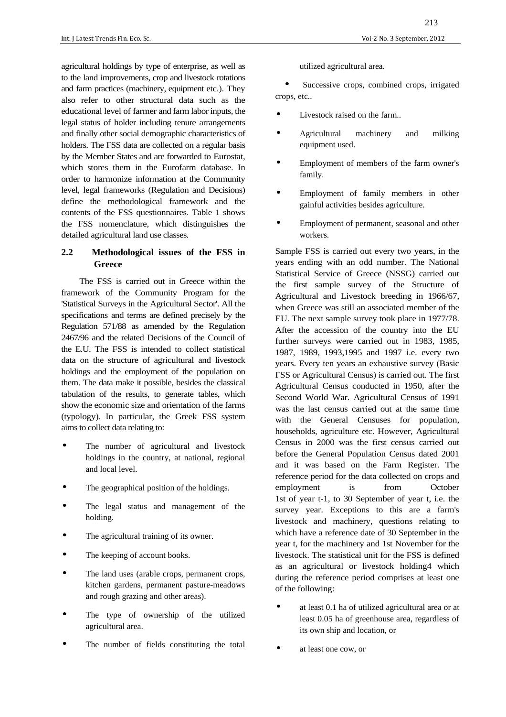agricultural holdings by type of enterprise, as well as to the land improvements, crop and livestock rotations and farm practices (machinery, equipment etc.). They also refer to other structural data such as the educational level of farmer and farm labor inputs, the legal status of holder including tenure arrangements and finally other social demographic characteristics of holders. The FSS data are collected on a regular basis by the Member States and are forwarded to Eurostat, which stores them in the Eurofarm database. In order to harmonize information at the Community level, legal frameworks (Regulation and Decisions) define the methodological framework and the contents of the FSS questionnaires. Table 1 shows the FSS nomenclature, which distinguishes the detailed agricultural land use classes.

### **2.2 Methodological issues of the FSS in Greece**

The FSS is carried out in Greece within the framework of the Community Program for the 'Statistical Surveys in the Agricultural Sector'. All the specifications and terms are defined precisely by the Regulation 571/88 as amended by the Regulation 2467/96 and the related Decisions of the Council of the E.U. The FSS is intended to collect statistical data on the structure of agricultural and livestock holdings and the employment of the population on them. The data make it possible, besides the classical tabulation of the results, to generate tables, which show the economic size and orientation of the farms (typology). In particular, the Greek FSS system aims to collect data relating to:

- The number of agricultural and livestock holdings in the country, at national, regional and local level.
- The geographical position of the holdings.
- The legal status and management of the holding.
- The agricultural training of its owner.
- The keeping of account books.
- The land uses (arable crops, permanent crops, kitchen gardens, permanent pasture-meadows and rough grazing and other areas).
- The type of ownership of the utilized agricultural area.
- The number of fields constituting the total

utilized agricultural area.

Successive crops, combined crops, irrigated crops, etc..

- Livestock raised on the farm..
- Agricultural machinery and milking equipment used.
- Employment of members of the farm owner's family.
- Employment of family members in other gainful activities besides agriculture.
- Employment of permanent, seasonal and other workers.

Sample FSS is carried out every two years, in the years ending with an odd number. The National Statistical Service of Greece (NSSG) carried out the first sample survey of the Structure of Agricultural and Livestock breeding in 1966/67, when Greece was still an associated member of the EU. The next sample survey took place in 1977/78. After the accession of the country into the EU further surveys were carried out in 1983, 1985, 1987, 1989, 1993,1995 and 1997 i.e. every two years. Every ten years an exhaustive survey (Basic FSS or Agricultural Census) is carried out. The first Agricultural Census conducted in 1950, after the Second World War. Agricultural Census of 1991 was the last census carried out at the same time with the General Censuses for population, households, agriculture etc. However, Agricultural Census in 2000 was the first census carried out before the General Population Census dated 2001 and it was based on the Farm Register. The reference period for the data collected on crops and employment is from October 1st of year t-1, to 30 September of year t, i.e. the survey year. Exceptions to this are a farm's livestock and machinery, questions relating to which have a reference date of 30 September in the year t, for the machinery and 1st November for the livestock. The statistical unit for the FSS is defined as an agricultural or livestock holding4 which during the reference period comprises at least one of the following:

- at least 0.1 ha of utilized agricultural area or at least 0.05 ha of greenhouse area, regardless of its own ship and location, or
- at least one cow, or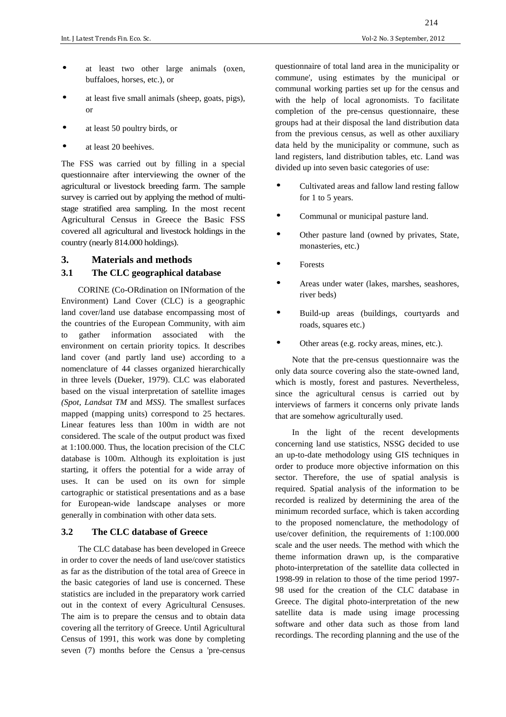- at least two other large animals (oxen, buffaloes, horses, etc.), or
- at least five small animals (sheep, goats, pigs), or
- at least 50 poultry birds, or
- at least 20 beehives.

The FSS was carried out by filling in a special questionnaire after interviewing the owner of the agricultural or livestock breeding farm. The sample survey is carried out by applying the method of multistage stratified area sampling. In the most recent Agricultural Census in Greece the Basic FSS covered all agricultural and livestock holdings in the country (nearly 814.000 holdings).

# **3. Materials and methods**

### **3.1 The CLC geographical database**

CORINE (Co-ORdination on INformation of the Environment) Land Cover (CLC) is a geographic land cover/land use database encompassing most of the countries of the European Community, with aim to gather information associated with the environment on certain priority topics. It describes land cover (and partly land use) according to a nomenclature of 44 classes organized hierarchically in three levels (Dueker, 1979). CLC was elaborated based on the visual interpretation of satellite images *(Spot, Landsat TM* and *MSS).* The smallest surfaces mapped (mapping units) correspond to 25 hectares. Linear features less than 100m in width are not considered. The scale of the output product was fixed at 1:100.000. Thus, the location precision of the CLC database is 100m. Although its exploitation is just starting, it offers the potential for a wide array of uses. It can be used on its own for simple cartographic or statistical presentations and as a base for European-wide landscape analyses or more generally in combination with other data sets.

#### **3.2 The CLC database of Greece**

The CLC database has been developed in Greece in order to cover the needs of land use/cover statistics as far as the distribution of the total area of Greece in the basic categories of land use is concerned. These statistics are included in the preparatory work carried out in the context of every Agricultural Censuses. The aim is to prepare the census and to obtain data covering all the territory of Greece. Until Agricultural Census of 1991, this work was done by completing seven (7) months before the Census a 'pre-census

questionnaire of total land area in the municipality or commune', using estimates by the municipal or communal working parties set up for the census and with the help of local agronomists. To facilitate completion of the pre-census questionnaire, these groups had at their disposal the land distribution data from the previous census, as well as other auxiliary data held by the municipality or commune, such as land registers, land distribution tables, etc. Land was divided up into seven basic categories of use:

- Cultivated areas and fallow land resting fallow for 1 to 5 years.
- Communal or municipal pasture land.
- Other pasture land (owned by privates, State, monasteries, etc.)
- Forests
- Areas under water (lakes, marshes, seashores, river beds)
- Build-up areas (buildings, courtyards and roads, squares etc.)
- Other areas (e.g. rocky areas, mines, etc.).

Note that the pre-census questionnaire was the only data source covering also the state-owned land, which is mostly, forest and pastures. Nevertheless, since the agricultural census is carried out by interviews of farmers it concerns only private lands that are somehow agriculturally used.

In the light of the recent developments concerning land use statistics, NSSG decided to use an up-to-date methodology using GIS techniques in order to produce more objective information on this sector. Therefore, the use of spatial analysis is required. Spatial analysis of the information to be recorded is realized by determining the area of the minimum recorded surface, which is taken according to the proposed nomenclature, the methodology of use/cover definition, the requirements of 1:100.000 scale and the user needs. The method with which the theme information drawn up, is the comparative photo-interpretation of the satellite data collected in 1998-99 in relation to those of the time period 1997- 98 used for the creation of the CLC database in Greece. The digital photo-interpretation of the new satellite data is made using image processing software and other data such as those from land recordings. The recording planning and the use of the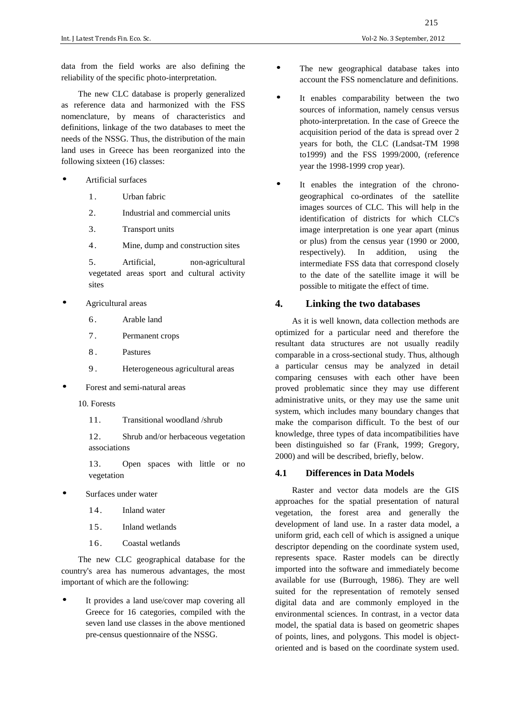data from the field works are also defining the reliability of the specific photo-interpretation.

The new CLC database is properly generalized as reference data and harmonized with the FSS nomenclature, by means of characteristics and definitions, linkage of the two databases to meet the needs of the NSSG. Thus, the distribution of the main land uses in Greece has been reorganized into the following sixteen (16) classes:

- Artificial surfaces
	- 1. Urban fabric
	- 2. Industrial and commercial units
	- 3. Transport units
	- 4. Mine, dump and construction sites

5. Artificial, non-agricultural vegetated areas sport and cultural activity sites

- Agricultural areas
	- 6. Arable land
	- 7. Permanent crops
	- 8. Pastures
	- 9 . Heterogeneous agricultural areas
- Forest and semi-natural areas
	- 10. Forests
		- 11. Transitional woodland /shrub

12. Shrub and/or herbaceous vegetation associations

13. Open spaces with little or no vegetation

- Surfaces under water
	- 14. Inland water
	- 15. Inland wetlands
	- 16. Coastal wetlands

The new CLC geographical database for the country's area has numerous advantages, the most important of which are the following:

It provides a land use/cover map covering all Greece for 16 categories, compiled with the seven land use classes in the above mentioned pre-census questionnaire of the NSSG.

- The new geographical database takes into account the FSS nomenclature and definitions.
- It enables comparability between the two sources of information, namely census versus photo-interpretation. In the case of Greece the acquisition period of the data is spread over 2 years for both, the CLC (Landsat-TM 1998 to1999) and the FSS 1999/2000, (reference year the 1998-1999 crop year).
- It enables the integration of the chronogeographical co-ordinates of the satellite images sources of CLC. This will help in the identification of districts for which CLC's image interpretation is one year apart (minus or plus) from the census year (1990 or 2000, respectively). In addition, using the intermediate FSS data that correspond closely to the date of the satellite image it will be possible to mitigate the effect of time.

# **4. Linking the two databases**

As it is well known, data collection methods are optimized for a particular need and therefore the resultant data structures are not usually readily comparable in a cross-sectional study. Thus, although a particular census may be analyzed in detail comparing censuses with each other have been proved problematic since they may use different administrative units, or they may use the same unit system, which includes many boundary changes that make the comparison difficult. To the best of our knowledge, three types of data incompatibilities have been distinguished so far (Frank, 1999; Gregory, 2000) and will be described, briefly, below.

#### **4.1 Differences in Data Models**

Raster and vector data models are the GIS approaches for the spatial presentation of natural vegetation, the forest area and generally the development of land use. In a raster data model, a uniform grid, each cell of which is assigned a unique descriptor depending on the coordinate system used, represents space. Raster models can be directly imported into the software and immediately become available for use (Burrough, 1986). They are well suited for the representation of remotely sensed digital data and are commonly employed in the environmental sciences. In contrast, in a vector data model, the spatial data is based on geometric shapes of points, lines, and polygons. This model is objectoriented and is based on the coordinate system used.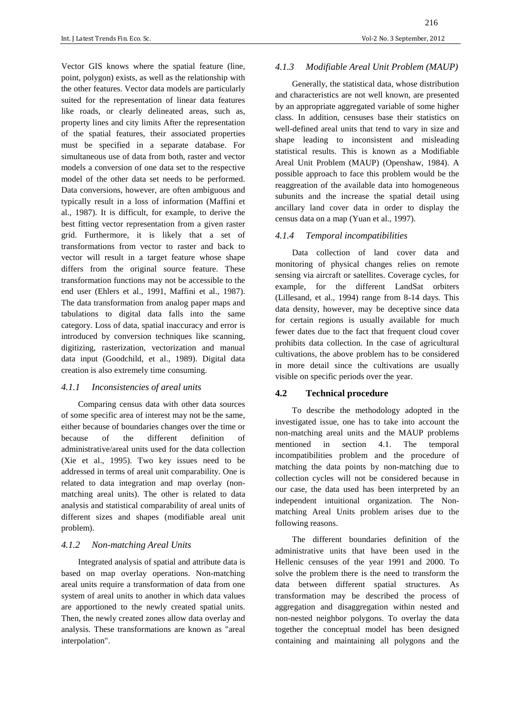Vector GIS knows where the spatial feature (line, point, polygon) exists, as well as the relationship with the other features. Vector data models are particularly suited for the representation of linear data features like roads, or clearly delineated areas, such as, property lines and city limits After the representation of the spatial features, their associated properties must be specified in a separate database. For simultaneous use of data from both, raster and vector models a conversion of one data set to the respective model of the other data set needs to be performed. Data conversions, however, are often ambiguous and typically result in a loss of information (Maffini et al., 1987). It is difficult, for example, to derive the best fitting vector representation from a given raster grid. Furthermore, it is likely that a set of transformations from vector to raster and back to vector will result in a target feature whose shape differs from the original source feature. These transformation functions may not be accessible to the end user (Ehlers et al., 1991, Maffini et al., 1987). The data transformation from analog paper maps and tabulations to digital data falls into the same category. Loss of data, spatial inaccuracy and error is introduced by conversion techniques like scanning, digitizing, rasterization, vectorization and manual data input (Goodchild, et al., 1989). Digital data creation is also extremely time consuming.

#### *4.1.1 Inconsistencies of areal units*

Comparing census data with other data sources of some specific area of interest may not be the same, either because of boundaries changes over the time or because of the different definition of administrative/areal units used for the data collection (Xie et al., 1995). Two key issues need to be addressed in terms of areal unit comparability. One is related to data integration and map overlay (nonmatching areal units). The other is related to data analysis and statistical comparability of areal units of different sizes and shapes (modifiable areal unit problem).

#### *4.1.2 Non-matching Areal Units*

Integrated analysis of spatial and attribute data is based on map overlay operations. Non-matching areal units require a transformation of data from one system of areal units to another in which data values are apportioned to the newly created spatial units. Then, the newly created zones allow data overlay and analysis. These transformations are known as "areal interpolation".

# *4.1.3 Modifiable Areal Unit Problem (MAUP)*

Generally, the statistical data, whose distribution and characteristics are not well known, are presented by an appropriate aggregated variable of some higher class. In addition, censuses base their statistics on well-defined areal units that tend to vary in size and shape leading to inconsistent and misleading statistical results. This is known as a Modifiable Areal Unit Problem (MAUP) (Openshaw, 1984). A possible approach to face this problem would be the reaggreation of the available data into homogeneous subunits and the increase the spatial detail using ancillary land cover data in order to display the census data on a map (Yuan et al., 1997).

#### *4.1.4 Temporal incompatibilities*

Data collection of land cover data and monitoring of physical changes relies on remote sensing via aircraft or satellites. Coverage cycles, for example, for the different LandSat orbiters (Lillesand, et al., 1994) range from 8-14 days. This data density, however, may be deceptive since data for certain regions is usually available for much fewer dates due to the fact that frequent cloud cover prohibits data collection. In the case of agricultural cultivations, the above problem has to be considered in more detail since the cultivations are usually visible on specific periods over the year.

#### **4.2 Technical procedure**

To describe the methodology adopted in the investigated issue, one has to take into account the non-matching areal units and the MAUP problems mentioned in section 4.1. The temporal incompatibilities problem and the procedure of matching the data points by non-matching due to collection cycles will not be considered because in our case, the data used has been interpreted by an independent intuitional organization. The Nonmatching Areal Units problem arises due to the following reasons.

The different boundaries definition of the administrative units that have been used in the Hellenic censuses of the year 1991 and 2000. To solve the problem there is the need to transform the data between different spatial structures. As transformation may be described the process of aggregation and disaggregation within nested and non-nested neighbor polygons. To overlay the data together the conceptual model has been designed containing and maintaining all polygons and the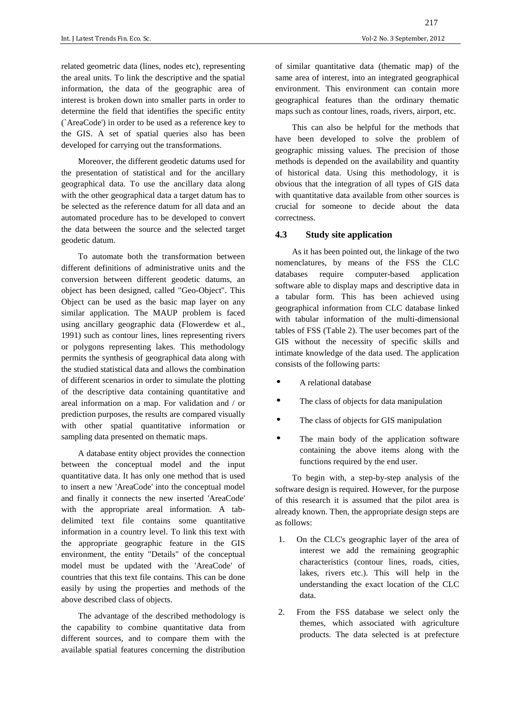related geometric data (lines, nodes etc), representing the areal units. To link the descriptive and the spatial information, the data of the geographic area of interest is broken down into smaller parts in order to determine the field that identifies the specific entity (`AreaCode') in order to be used as a reference key to the GIS. A set of spatial queries also has been developed for carrying out the transformations.

Moreover, the different geodetic datums used for the presentation of statistical and for the ancillary geographical data. To use the ancillary data along with the other geographical data a target datum has to be selected as the reference datum for all data and an automated procedure has to be developed to convert the data between the source and the selected target geodetic datum.

To automate both the transformation between different definitions of administrative units and the conversion between different geodetic datums, an object has been designed, called "Geo-Object". This Object can be used as the basic map layer on any similar application. The MAUP problem is faced using ancillary geographic data (Flowerdew et al., 1991) such as contour lines, lines representing rivers or polygons representing lakes. This methodology permits the synthesis of geographical data along with the studied statistical data and allows the combination of different scenarios in order to simulate the plotting of the descriptive data containing quantitative and areal information on a map. For validation and / or prediction purposes, the results are compared visually with other spatial quantitative information or sampling data presented on thematic maps.

A database entity object provides the connection between the conceptual model and the input quantitative data. It has only one method that is used to insert a new 'AreaCode' into the conceptual model and finally it connects the new inserted 'AreaCode' with the appropriate areal information. A tabdelimited text file contains some quantitative information in a country level. To link this text with the appropriate geographic feature in the GIS environment, the entity "Details" of the conceptual model must be updated with the 'AreaCode' of countries that this text file contains. This can be done easily by using the properties and methods of the above described class of objects.

The advantage of the described methodology is the capability to combine quantitative data from different sources, and to compare them with the available spatial features concerning the distribution

of similar quantitative data (thematic map) of the same area of interest, into an integrated geographical environment. This environment can contain more geographical features than the ordinary thematic maps such as contour lines, roads, rivers, airport, etc.

This can also be helpful for the methods that have been developed to solve the problem of geographic missing values. The precision of those methods is depended on the availability and quantity of historical data. Using this methodology, it is obvious that the integration of all types of GIS data with quantitative data available from other sources is crucial for someone to decide about the data correctness.

### **4.3 Study site application**

As it has been pointed out, the linkage of the two nomenclatures, by means of the FSS the CLC databases require computer-based application software able to display maps and descriptive data in a tabular form. This has been achieved using geographical information from CLC database linked with tabular information of the multi-dimensional tables of FSS (Table 2). The user becomes part of the GIS without the necessity of specific skills and intimate knowledge of the data used. The application consists of the following parts:

- A relational database
- The class of objects for data manipulation
- The class of objects for GIS manipulation
- The main body of the application software containing the above items along with the functions required by the end user.

To begin with, a step-by-step analysis of the software design is required. However, for the purpose of this research it is assumed that the pilot area is already known. Then, the appropriate design steps are as follows:

- 1. On the CLC's geographic layer of the area of interest we add the remaining geographic characteristics (contour lines, roads, cities, lakes, rivers etc.). This will help in the understanding the exact location of the CLC data.
- 2. From the FSS database we select only the themes, which associated with agriculture products. The data selected is at prefecture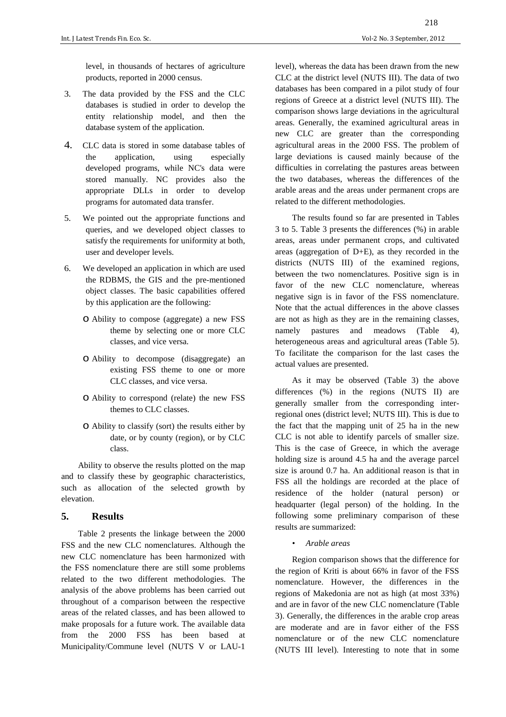level, in thousands of hectares of agriculture products, reported in 2000 census.

- 3. The data provided by the FSS and the CLC databases is studied in order to develop the entity relationship model, and then the database system of the application.
- 4. CLC data is stored in some database tables of the application, using especially developed programs, while NC's data were stored manually. NC provides also the appropriate DLLs in order to develop programs for automated data transfer.
- 5. We pointed out the appropriate functions and queries, and we developed object classes to satisfy the requirements for uniformity at both, user and developer levels.
- 6. We developed an application in which are used the RDBMS, the GIS and the pre-mentioned object classes. The basic capabilities offered by this application are the following:
	- o Ability to compose (aggregate) a new FSS theme by selecting one or more CLC classes, and vice versa.
	- o Ability to decompose (disaggregate) an existing FSS theme to one or more CLC classes, and vice versa.
	- o Ability to correspond (relate) the new FSS themes to CLC classes.
	- o Ability to classify (sort) the results either by date, or by county (region), or by CLC class.

Ability to observe the results plotted on the map and to classify these by geographic characteristics, such as allocation of the selected growth by elevation.

#### **5. Results**

Table 2 presents the linkage between the 2000 FSS and the new CLC nomenclatures. Although the new CLC nomenclature has been harmonized with the FSS nomenclature there are still some problems related to the two different methodologies. The analysis of the above problems has been carried out throughout of a comparison between the respective areas of the related classes, and has been allowed to make proposals for a future work. The available data from the 2000 FSS has been based at Municipality/Commune level (NUTS V or LAU-1

level), whereas the data has been drawn from the new CLC at the district level (NUTS III). The data of two databases has been compared in a pilot study of four regions of Greece at a district level (NUTS III). The comparison shows large deviations in the agricultural areas. Generally, the examined agricultural areas in new CLC are greater than the corresponding agricultural areas in the 2000 FSS. The problem of large deviations is caused mainly because of the difficulties in correlating the pastures areas between the two databases, whereas the differences of the arable areas and the areas under permanent crops are related to the different methodologies.

The results found so far are presented in Tables 3 to 5. Table 3 presents the differences (%) in arable areas, areas under permanent crops, and cultivated areas (aggregation of D+E), as they recorded in the districts (NUTS III) of the examined regions, between the two nomenclatures. Positive sign is in favor of the new CLC nomenclature, whereas negative sign is in favor of the FSS nomenclature. Note that the actual differences in the above classes are not as high as they are in the remaining classes, namely pastures and meadows (Table 4), heterogeneous areas and agricultural areas (Table 5). To facilitate the comparison for the last cases the actual values are presented.

As it may be observed (Table 3) the above differences (%) in the regions (NUTS II) are generally smaller from the corresponding interregional ones (district level; NUTS III). This is due to the fact that the mapping unit of 25 ha in the new CLC is not able to identify parcels of smaller size. This is the case of Greece, in which the average holding size is around 4.5 ha and the average parcel size is around 0.7 ha. An additional reason is that in FSS all the holdings are recorded at the place of residence of the holder (natural person) or headquarter (legal person) of the holding. In the following some preliminary comparison of these results are summarized:

*• Arable areas* 

Region comparison shows that the difference for the region of Kriti is about 66% in favor of the FSS nomenclature. However, the differences in the regions of Makedonia are not as high (at most 33%) and are in favor of the new CLC nomenclature (Table 3). Generally, the differences in the arable crop areas are moderate and are in favor either of the FSS nomenclature or of the new CLC nomenclature (NUTS III level). Interesting to note that in some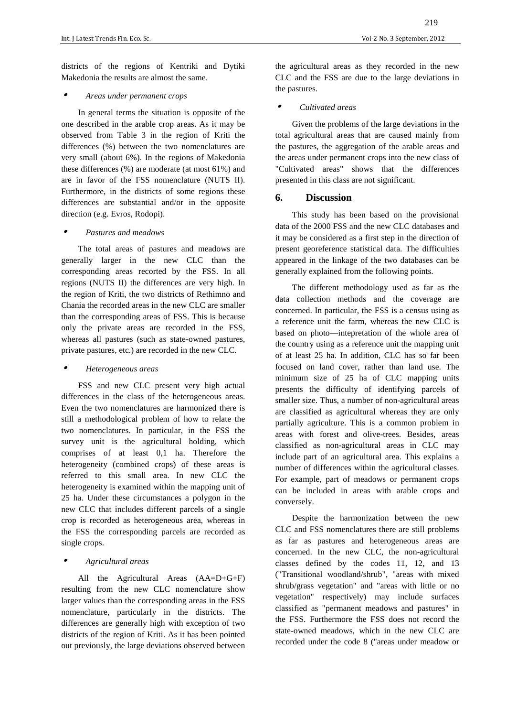districts of the regions of Kentriki and Dytiki Makedonia the results are almost the same.

#### •*Areas under permanent crops*

In general terms the situation is opposite of the one described in the arable crop areas. As it may be observed from Table 3 in the region of Kriti the differences (%) between the two nomenclatures are very small (about 6%). In the regions of Makedonia these differences (%) are moderate (at most 61%) and are in favor of the FSS nomenclature (NUTS II). Furthermore, in the districts of some regions these differences are substantial and/or in the opposite direction (e.g. Evros, Rodopi).

#### •*Pastures and meadows*

The total areas of pastures and meadows are generally larger in the new CLC than the corresponding areas recorted by the FSS. In all regions (NUTS II) the differences are very high. In the region of Kriti, the two districts of Rethimno and Chania the recorded areas in the new CLC are smaller than the corresponding areas of FSS. This is because only the private areas are recorded in the FSS, whereas all pastures (such as state-owned pastures, private pastures, etc.) are recorded in the new CLC.

#### •*Heterogeneous areas*

FSS and new CLC present very high actual differences in the class of the heterogeneous areas. Even the two nomenclatures are harmonized there is still a methodological problem of how to relate the two nomenclatures. In particular, in the FSS the survey unit is the agricultural holding, which comprises of at least 0,1 ha. Therefore the heterogeneity (combined crops) of these areas is referred to this small area. In new CLC the heterogeneity is examined within the mapping unit of 25 ha. Under these circumstances a polygon in the new CLC that includes different parcels of a single crop is recorded as heterogeneous area, whereas in the FSS the corresponding parcels are recorded as single crops.

#### •*Agricultural areas*

All the Agricultural Areas (AA=D+G+F) resulting from the new CLC nomenclature show larger values than the corresponding areas in the FSS nomenclature, particularly in the districts. The differences are generally high with exception of two districts of the region of Kriti. As it has been pointed out previously, the large deviations observed between the agricultural areas as they recorded in the new CLC and the FSS are due to the large deviations in the pastures.

#### •*Cultivated areas*

Given the problems of the large deviations in the total agricultural areas that are caused mainly from the pastures, the aggregation of the arable areas and the areas under permanent crops into the new class of "Cultivated areas" shows that the differences presented in this class are not significant.

#### **6. Discussion**

This study has been based on the provisional data of the 2000 FSS and the new CLC databases and it may be considered as a first step in the direction of present georeference statistical data. The difficulties appeared in the linkage of the two databases can be generally explained from the following points.

The different methodology used as far as the data collection methods and the coverage are concerned. In particular, the FSS is a census using as a reference unit the farm, whereas the new CLC is based on photo—intepretation of the whole area of the country using as a reference unit the mapping unit of at least 25 ha. In addition, CLC has so far been focused on land cover, rather than land use. The minimum size of 25 ha of CLC mapping units presents the difficulty of identifying parcels of smaller size. Thus, a number of non-agricultural areas are classified as agricultural whereas they are only partially agriculture. This is a common problem in areas with forest and olive-trees. Besides, areas classified as non-agricultural areas in CLC may include part of an agricultural area. This explains a number of differences within the agricultural classes. For example, part of meadows or permanent crops can be included in areas with arable crops and conversely.

Despite the harmonization between the new CLC and FSS nomenclatures there are still problems as far as pastures and heterogeneous areas are concerned. In the new CLC, the non-agricultural classes defined by the codes 11, 12, and 13 ("Transitional woodland/shrub", "areas with mixed shrub/grass vegetation" and "areas with little or no vegetation" respectively) may include surfaces classified as "permanent meadows and pastures" in the FSS. Furthermore the FSS does not record the state-owned meadows, which in the new CLC are recorded under the code 8 ("areas under meadow or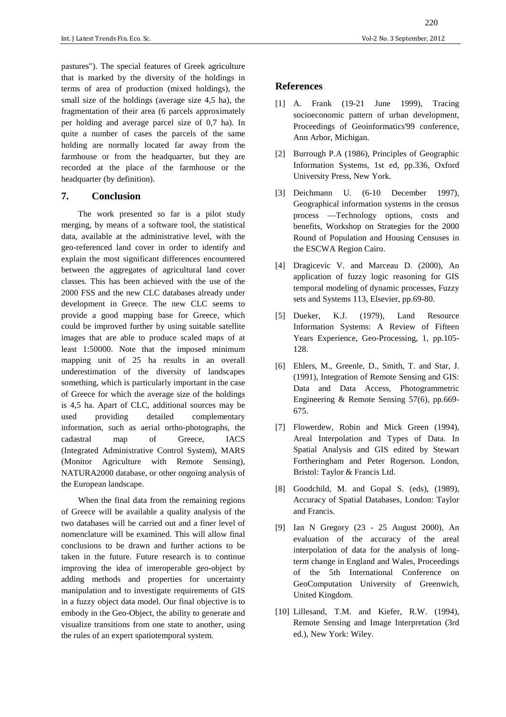pastures"). The special features of Greek agriculture that is marked by the diversity of the holdings in terms of area of production (mixed holdings), the small size of the holdings (average size 4,5 ha), the fragmentation of their area (6 parcels approximately per holding and average parcel size of 0,7 ha). In quite a number of cases the parcels of the same holding are normally located far away from the farmhouse or from the headquarter, but they are recorded at the place of the farmhouse or the headquarter (by definition).

### **7. Conclusion**

The work presented so far is a pilot study merging, by means of a software tool, the statistical data, available at the administrative level, with the geo-referenced land cover in order to identify and explain the most significant differences encountered between the aggregates of agricultural land cover classes. This has been achieved with the use of the 2000 FSS and the new CLC databases already under development in Greece. The new CLC seems to provide a good mapping base for Greece, which could be improved further by using suitable satellite images that are able to produce scaled maps of at least 1:50000. Note that the imposed minimum mapping unit of 25 ha results in an overall underestimation of the diversity of landscapes something, which is particularly important in the case of Greece for which the average size of the holdings is 4,5 ha. Apart of CLC, additional sources may be used providing detailed complementary information, such as aerial ortho-photographs, the cadastral map of Greece, IACS (Integrated Administrative Control System), MARS (Monitor Agriculture with Remote Sensing), NATURA2000 database, or other ongoing analysis of the European landscape.

When the final data from the remaining regions of Greece will be available a quality analysis of the two databases will be carried out and a finer level of nomenclature will be examined. This will allow final conclusions to be drawn and further actions to be taken in the future. Future research is to continue improving the idea of interoperable geo-object by adding methods and properties for uncertainty manipulation and to investigate requirements of GIS in a fuzzy object data model. Our final objective is to embody in the Geo-Object, the ability to generate and visualize transitions from one state to another, using the rules of an expert spatiotemporal system.

### **References**

- [1] A. Frank (19-21 June 1999), Tracing socioeconomic pattern of urban development, Proceedings of Geoinformatics'99 conference, Ann Arbor, Michigan.
- [2] Burrough P.A (1986), Principles of Geographic Information Systems, 1st ed, pp.336, Oxford University Press, New York.
- [3] Deichmann U. (6-10 December 1997), Geographical information systems in the census process —Technology options, costs and benefits, Workshop on Strategies for the 2000 Round of Population and Housing Censuses in the ESCWA Region Cairo.
- [4] Dragicevic V. and Marceau D. (2000), An application of fuzzy logic reasoning for GIS temporal modeling of dynamic processes, Fuzzy sets and Systems 113, Elsevier, pp.69-80.
- [5] Dueker, K.J. (1979), Land Resource Information Systems: A Review of Fifteen Years Experience, Geo-Processing, 1, pp.105- 128.
- [6] Ehlers, M., Greenle, D., Smith, T. and Star, J. (1991), Integration of Remote Sensing and GIS: Data and Data Access, Photogrammetric Engineering & Remote Sensing 57(6), pp.669- 675.
- [7] Flowerdew, Robin and Mick Green (1994), Areal Interpolation and Types of Data. In Spatial Analysis and GIS edited by Stewart Fortheringham and Peter Rogerson. London, Bristol: Taylor & Francis Ltd.
- [8] Goodchild, M. and Gopal S. (eds), (1989), Accuracy of Spatial Databases, London: Taylor and Francis.
- [9] Ian N Gregory (23 25 August 2000), An evaluation of the accuracy of the areal interpolation of data for the analysis of longterm change in England and Wales, Proceedings of the 5th International Conference on GeoComputation University of Greenwich, United Kingdom.
- [10] Lillesand, T.M. and Kiefer, R.W. (1994), Remote Sensing and Image Interpretation (3rd ed.), New York: Wiley.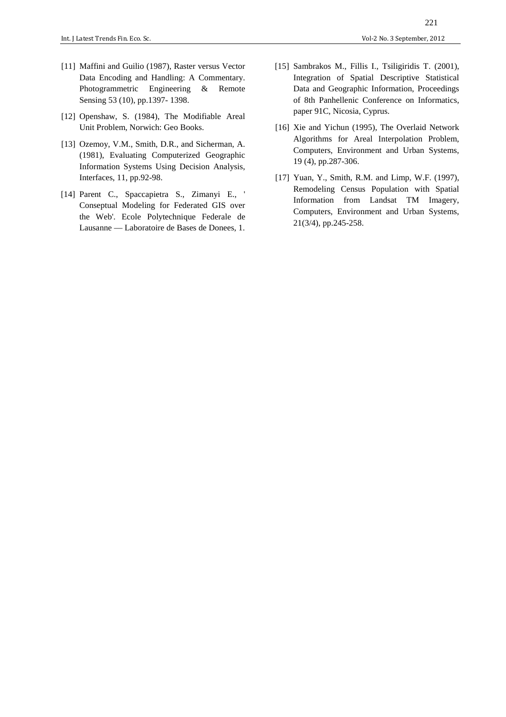- [11] Maffini and Guilio (1987), Raster versus Vector Data Encoding and Handling: A Commentary. Photogrammetric Engineering & Remote Sensing 53 (10), pp.1397- 1398.
- [12] Openshaw, S. (1984), The Modifiable Areal Unit Problem, Norwich: Geo Books.
- [13] Ozemoy, V.M., Smith, D.R., and Sicherman, A. (1981), Evaluating Computerized Geographic Information Systems Using Decision Analysis, Interfaces, 11, pp.92-98.
- [14] Parent C., Spaccapietra S., Zimanyi E., ' Conseptual Modeling for Federated GIS over the Web'. Ecole Polytechnique Federale de Lausanne — Laboratoire de Bases de Donees, 1.
- [15] Sambrakos M., Fillis I., Tsiligiridis T. (2001), Integration of Spatial Descriptive Statistical Data and Geographic Information, Proceedings of 8th Panhellenic Conference on Informatics, paper 91C, Nicosia, Cyprus.
- [16] Xie and Yichun (1995), The Overlaid Network Algorithms for Areal Interpolation Problem, Computers, Environment and Urban Systems, 19 (4), pp.287-306.
- [17] Yuan, Y., Smith, R.M. and Limp, W.F. (1997), Remodeling Census Population with Spatial Information from Landsat TM Imagery, Computers, Environment and Urban Systems, 21(3/4), pp.245-258.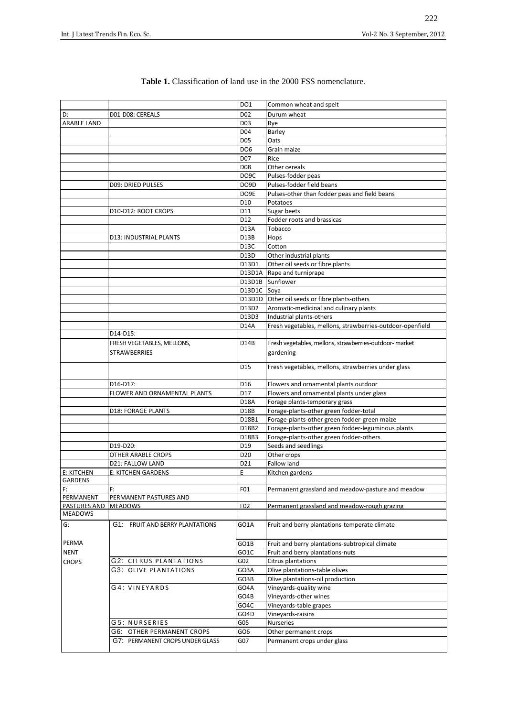|                    |                                 | DO1               | Common wheat and spelt                                    |
|--------------------|---------------------------------|-------------------|-----------------------------------------------------------|
| D:                 | D01-D08: CEREALS                | D <sub>02</sub>   | Durum wheat                                               |
| <b>ARABLE LAND</b> |                                 | D <sub>0</sub> 3  | Rye                                                       |
|                    |                                 | D04               | Barley                                                    |
|                    |                                 | D05               | Oats                                                      |
|                    |                                 | DO <sub>6</sub>   | Grain maize                                               |
|                    |                                 | D07               | Rice                                                      |
|                    |                                 | D <sub>08</sub>   | Other cereals                                             |
|                    |                                 | DO <sub>9</sub> C | Pulses-fodder peas                                        |
|                    | <b>D09: DRIED PULSES</b>        | DO9D              | Pulses-fodder field beans                                 |
|                    |                                 | DO9E              | Pulses-other than fodder peas and field beans             |
|                    |                                 | D <sub>10</sub>   | Potatoes                                                  |
|                    | D10-D12: ROOT CROPS             | D11               | Sugar beets                                               |
|                    |                                 | D12               | Fodder roots and brassicas                                |
|                    |                                 | D13A              | Tobacco                                                   |
|                    | D13: INDUSTRIAL PLANTS          | D13B              | Hops                                                      |
|                    |                                 | D <sub>13</sub> C | Cotton                                                    |
|                    |                                 | D13D              | Other industrial plants                                   |
|                    |                                 | D13D1             | Other oil seeds or fibre plants                           |
|                    |                                 | D13D1A            | Rape and turniprape                                       |
|                    |                                 |                   | D13D1B Sunflower                                          |
|                    |                                 | D13D1C            | Soya                                                      |
|                    |                                 | D13D1D            | Other oil seeds or fibre plants-others                    |
|                    |                                 | D13D2             | Aromatic-medicinal and culinary plants                    |
|                    |                                 | D13D3             | Industrial plants-others                                  |
|                    |                                 | D14A              | Fresh vegetables, mellons, strawberries-outdoor-openfield |
|                    | D14-D15:                        |                   |                                                           |
|                    | FRESH VEGETABLES, MELLONS,      | D14B              | Fresh vegetables, mellons, strawberries-outdoor- market   |
|                    | <b>STRAWBERRIES</b>             |                   | gardening                                                 |
|                    |                                 |                   |                                                           |
|                    |                                 | D <sub>15</sub>   | Fresh vegetables, mellons, strawberries under glass       |
|                    | D16-D17:                        | D16               | Flowers and ornamental plants outdoor                     |
|                    | FLOWER AND ORNAMENTAL PLANTS    | D17               | Flowers and ornamental plants under glass                 |
|                    |                                 | D18A              | Forage plants-temporary grass                             |
|                    |                                 | D18B              | Forage-plants-other green fodder-total                    |
|                    | <b>D18: FORAGE PLANTS</b>       | D18B1             | Forage-plants-other green fodder-green maize              |
|                    |                                 | D18B2             | Forage-plants-other green fodder-leguminous plants        |
|                    |                                 | D18B3             | Forage-plants-other green fodder-others                   |
|                    | D19-D20:                        | D19               | Seeds and seedlings                                       |
|                    | OTHER ARABLE CROPS              | D <sub>20</sub>   | Other crops                                               |
|                    | D21: FALLOW LAND                | D21               | Fallow land                                               |
| E: KITCHEN         | E: KITCHEN GARDENS              | E                 | Kitchen gardens                                           |
| <b>GARDENS</b>     |                                 |                   |                                                           |
| F:                 | F:                              | F01               | Permanent grassland and meadow-pasture and meadow         |
| PERMANENT          | PERMANENT PASTURES AND          |                   |                                                           |
| PASTURES AND       | <b>MEADOWS</b>                  | F02               | Permanent grassland and meadow-rough grazing              |
| <b>MEADOWS</b>     |                                 |                   |                                                           |
| G:                 | G1: FRUIT AND BERRY PLANTATIONS | GO1A              | Fruit and berry plantations-temperate climate             |
|                    |                                 |                   |                                                           |
|                    |                                 |                   |                                                           |
| PERMA              |                                 | GO1B              | Fruit and berry plantations-subtropical climate           |
| <b>NENT</b>        |                                 | GO1C              | Fruit and berry plantations-nuts                          |
| <b>CROPS</b>       | G2: CITRUS PLANTATIONS          | G02               | Citrus plantations                                        |
|                    | <b>G3: OLIVE PLANTATIONS</b>    | GO3A              | Olive plantations-table olives                            |
|                    |                                 | GO3B              | Olive plantations-oil production                          |
|                    | G4: VINEYARDS                   | GO4A              | Vineyards-quality wine                                    |
|                    |                                 | GO4B              | Vineyards-other wines                                     |
|                    |                                 | GO4C              | Vineyards-table grapes                                    |
|                    |                                 | GO4D              | Vineyards-raisins                                         |
|                    | <b>G5: NURSERIES</b>            | G05               | <b>Nurseries</b>                                          |
|                    | G6: OTHER PERMANENT CROPS       | GO <sub>6</sub>   | Other permanent crops                                     |
|                    | G7: PERMANENT CROPS UNDER GLASS | G07               | Permanent crops under glass                               |

#### Table 1. Classification of land use in the 2000 FSS nomenclature.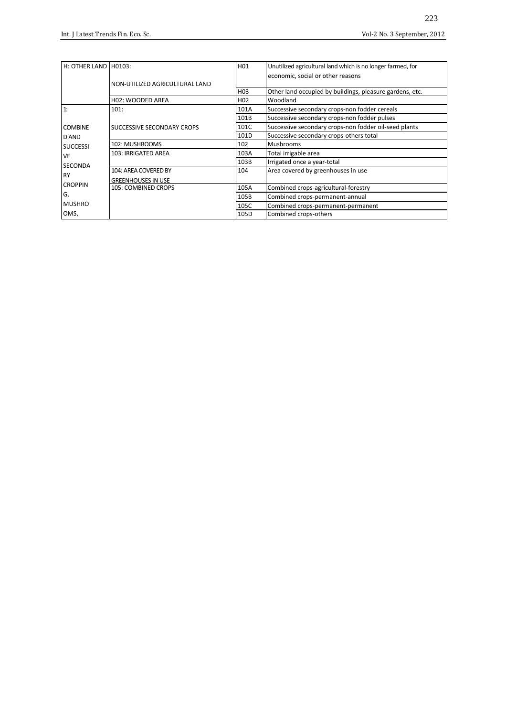| H: OTHER LAND H0103: |                                | H01              | Unutilized agricultural land which is no longer farmed, for |  |
|----------------------|--------------------------------|------------------|-------------------------------------------------------------|--|
|                      |                                |                  | economic, social or other reasons                           |  |
|                      | NON-UTILIZED AGRICULTURAL LAND |                  |                                                             |  |
|                      |                                | H <sub>03</sub>  | Other land occupied by buildings, pleasure gardens, etc.    |  |
|                      | H02: WOODED AREA               | H <sub>0</sub> 2 | Woodland                                                    |  |
| 1:                   | 101:                           | 101A             | Successive secondary crops-non fodder cereals               |  |
|                      |                                | 101B             | Successive secondary crops-non fodder pulses                |  |
| <b>COMBINE</b>       | SUCCESSIVE SECONDARY CROPS     | 101C             | Successive secondary crops-non fodder oil-seed plants       |  |
| D AND                |                                | 101D             | Successive secondary crops-others total                     |  |
| <b>SUCCESSI</b>      | 102: MUSHROOMS                 | 102              | <b>Mushrooms</b>                                            |  |
| VE                   | 103: IRRIGATED AREA            | 103A             | Total irrigable area                                        |  |
| SECONDA              |                                | 103B             | Irrigated once a year-total                                 |  |
|                      | 104: AREA COVERED BY           | 104              | Area covered by greenhouses in use                          |  |
| <b>RY</b>            | <b>GREENHOUSES IN USE</b>      |                  |                                                             |  |
| <b>CROPPIN</b>       | 105: COMBINED CROPS            | 105A             | Combined crops-agricultural-forestry                        |  |
| G,                   |                                | 105B             | Combined crops-permanent-annual                             |  |
| <b>MUSHRO</b>        |                                | 105C             | Combined crops-permanent-permanent                          |  |
| OMS,                 |                                | 105D             | Combined crops-others                                       |  |
|                      |                                |                  |                                                             |  |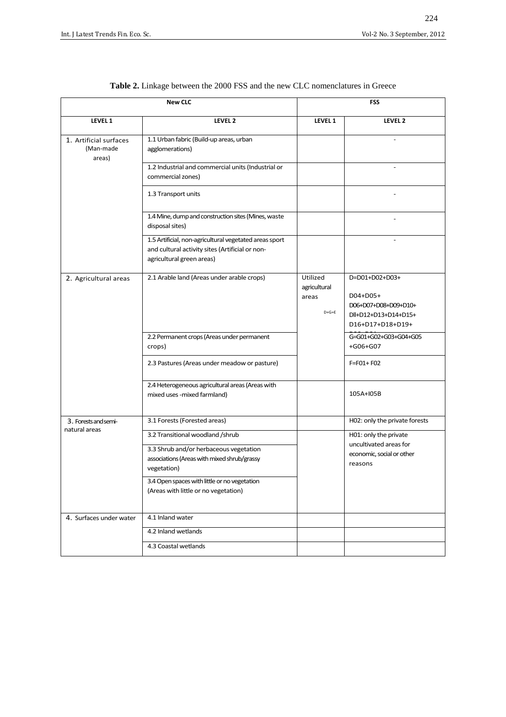|                                               | <b>New CLC</b>                                                                                                                                                                                                                   | FSS                                          |                                                                                                |  |
|-----------------------------------------------|----------------------------------------------------------------------------------------------------------------------------------------------------------------------------------------------------------------------------------|----------------------------------------------|------------------------------------------------------------------------------------------------|--|
| LEVEL 1                                       | LEVEL 2                                                                                                                                                                                                                          | LEVEL 1                                      | LEVEL 2                                                                                        |  |
| 1. Artificial surfaces<br>(Man-made<br>areas) | 1.1 Urban fabric (Build-up areas, urban<br>agglomerations)                                                                                                                                                                       |                                              |                                                                                                |  |
|                                               | 1.2 Industrial and commercial units (Industrial or<br>commercial zones)                                                                                                                                                          |                                              |                                                                                                |  |
|                                               | 1.3 Transport units                                                                                                                                                                                                              |                                              |                                                                                                |  |
|                                               | 1.4 Mine, dump and construction sites (Mines, waste<br>disposal sites)                                                                                                                                                           |                                              |                                                                                                |  |
|                                               | 1.5 Artificial, non-agricultural vegetated areas sport<br>and cultural activity sites (Artificial or non-<br>agricultural green areas)                                                                                           |                                              |                                                                                                |  |
| 2. Agricultural areas                         | 2.1 Arable land (Areas under arable crops)                                                                                                                                                                                       | Utilized<br>agricultural<br>areas<br>$D+G+E$ | D=D01+D02+D03+<br>D04+D05+<br>D06+D07+D08+D09+D10+<br>Dll+D12+D13+D14+D15+<br>D16+D17+D18+D19+ |  |
|                                               | 2.2 Permanent crops (Areas under permanent<br>crops)                                                                                                                                                                             |                                              | G=G01+G02+G03+G04+G05<br>+G06+G07                                                              |  |
|                                               | 2.3 Pastures (Areas under meadow or pasture)                                                                                                                                                                                     |                                              | $F = F01 + F02$                                                                                |  |
|                                               | 2.4 Heterogeneous agricultural areas (Areas with<br>mixed uses -mixed farmland)                                                                                                                                                  |                                              | 105A+I05B                                                                                      |  |
| 3. Forests and semi-<br>natural areas         | 3.1 Forests (Forested areas)                                                                                                                                                                                                     |                                              | H02: only the private forests                                                                  |  |
|                                               | 3.2 Transitional woodland /shrub<br>3.3 Shrub and/or herbaceous vegetation<br>associations (Areas with mixed shrub/grassy<br>vegetation)<br>3.4 Open spaces with little or no vegetation<br>(Areas with little or no vegetation) |                                              | H01: only the private<br>uncultivated areas for<br>economic, social or other<br>reasons        |  |
| 4. Surfaces under water                       | 4.1 Inland water                                                                                                                                                                                                                 |                                              |                                                                                                |  |
|                                               | 4.2 Inland wetlands                                                                                                                                                                                                              |                                              |                                                                                                |  |
|                                               | 4.3 Coastal wetlands                                                                                                                                                                                                             |                                              |                                                                                                |  |

**Table 2.** Linkage between the 2000 FSS and the new CLC nomenclatures in Greece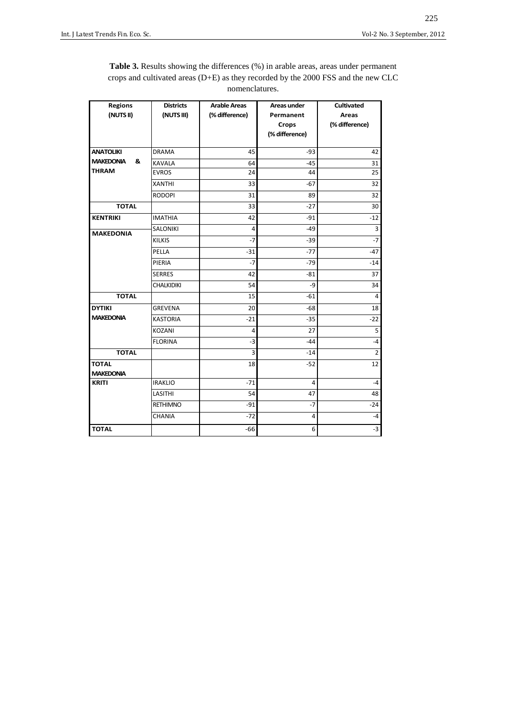| <b>Table 3.</b> Results showing the differences (%) in arable areas, areas under permanent |
|--------------------------------------------------------------------------------------------|
| crops and cultivated areas $(D+E)$ as they recorded by the 2000 FSS and the new CLC        |
| nomenclatures.                                                                             |

| <b>Regions</b>        | <b>Districts</b>  | <b>Arable Areas</b> | <b>Areas under</b> | <b>Cultivated</b> |  |
|-----------------------|-------------------|---------------------|--------------------|-------------------|--|
| (NUTS II)             | (NUTS III)        | (% difference)      | Permanent          | <b>Areas</b>      |  |
|                       |                   |                     | Crops              | (% difference)    |  |
|                       |                   |                     | (% difference)     |                   |  |
| <b>ANATOLIKI</b>      | <b>DRAMA</b>      | 45                  | $-93$              | 42                |  |
| <b>MAKEDONIA</b><br>& |                   |                     |                    |                   |  |
| <b>THRAM</b>          | <b>KAVALA</b>     | 64                  | $-45$              | 31                |  |
|                       | <b>EVROS</b>      | 24                  | 44                 | 25                |  |
|                       | <b>XANTHI</b>     | 33                  | $-67$              | 32                |  |
|                       | <b>RODOPI</b>     | 31                  | 89                 | 32                |  |
| <b>TOTAL</b>          |                   | 33                  | $-27$              | 30                |  |
| <b>KENTRIKI</b>       | <b>IMATHIA</b>    | 42                  | $-91$              | $-12$             |  |
| <b>MAKEDONIA</b>      | <b>SALONIKI</b>   | $\overline{4}$      | $-49$              | $\overline{3}$    |  |
|                       | <b>KILKIS</b>     | $-7$                | $-39$              | $-7$              |  |
|                       | PELLA             | $-31$               | $-77$              | $-47$             |  |
|                       | PIERIA            | $-7$                | $-79$              | $-14$             |  |
|                       | <b>SERRES</b>     | 42                  | $-81$              | 37                |  |
|                       | <b>CHALKIDIKI</b> | 54                  | -9                 | 34                |  |
| <b>TOTAL</b>          |                   | 15                  | $-61$              | $\overline{4}$    |  |
| <b>DYTIKI</b>         | <b>GREVENA</b>    | 20                  | $-68$              | 18                |  |
| <b>MAKEDONIA</b>      | <b>KASTORIA</b>   | $-21$               | $-35$              | $-22$             |  |
|                       | <b>KOZANI</b>     | 4                   | 27                 | 5                 |  |
|                       | <b>FLORINA</b>    | $-3$                | $-44$              | $-4$              |  |
| <b>TOTAL</b>          |                   | 3                   | $-14$              | $\overline{2}$    |  |
| <b>TOTAL</b>          |                   | 18                  | $-52$              | 12                |  |
| <b>MAKEDONIA</b>      |                   |                     |                    |                   |  |
| <b>KRITI</b>          | <b>IRAKLIO</b>    | $-71$               | 4                  | $-4$              |  |
|                       | LASITHI           | 54                  | 47                 | 48                |  |
|                       | <b>RETHIMNO</b>   | $-91$               | $-7$               | $-24$             |  |
|                       | CHANIA            | $-72$               | 4                  | $-4$              |  |
| <b>TOTAL</b>          |                   | $-66$               | 6                  | $-3$              |  |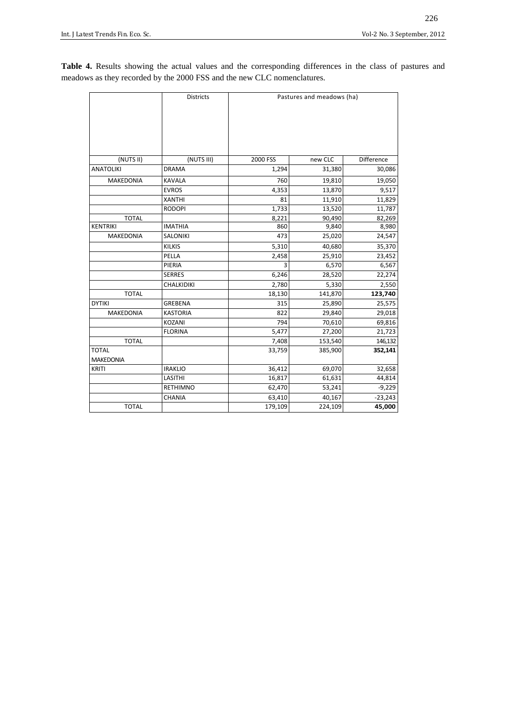**Table 4.** Results showing the actual values and the corresponding differences in the class of pastures and meadows as they recorded by the 2000 FSS and the new CLC nomenclatures.

|                  | <b>Districts</b> | Pastures and meadows (ha) |         |            |
|------------------|------------------|---------------------------|---------|------------|
|                  |                  |                           |         |            |
|                  |                  |                           |         |            |
| (NUTS II)        | (NUTS III)       | 2000 FSS                  | new CLC | Difference |
| <b>ANATOLIKI</b> | <b>DRAMA</b>     | 1,294                     | 31,380  | 30,086     |
| <b>MAKEDONIA</b> | <b>KAVALA</b>    | 760                       | 19,810  | 19,050     |
|                  | <b>EVROS</b>     | 4,353                     | 13,870  | 9,517      |
|                  | <b>XANTHI</b>    | 81                        | 11,910  | 11,829     |
|                  | <b>RODOPI</b>    | 1,733                     | 13,520  | 11,787     |
| <b>TOTAL</b>     |                  | 8,221                     | 90,490  | 82,269     |
| <b>KENTRIKI</b>  | <b>IMATHIA</b>   | 860                       | 9,840   | 8,980      |
| <b>MAKEDONIA</b> | <b>SALONIKI</b>  | 473                       | 25,020  | 24,547     |
|                  | <b>KILKIS</b>    | 5,310                     | 40,680  | 35,370     |
|                  | PELLA            | 2,458                     | 25,910  | 23,452     |
|                  | PIERIA           | $\overline{3}$            | 6,570   | 6,567      |
|                  | <b>SERRES</b>    | 6,246                     | 28,520  | 22,274     |
|                  | CHALKIDIKI       | 2,780                     | 5,330   | 2,550      |
| <b>TOTAL</b>     |                  | 18,130                    | 141,870 | 123,740    |
| <b>DYTIKI</b>    | <b>GREBENA</b>   | 315                       | 25,890  | 25,575     |
| MAKEDONIA        | <b>KASTORIA</b>  | 822                       | 29,840  | 29,018     |
|                  | KOZANI           | 794                       | 70,610  | 69,816     |
|                  | <b>FLORINA</b>   | 5,477                     | 27,200  | 21,723     |
| <b>TOTAL</b>     |                  | 7,408                     | 153,540 | 146,132    |
| <b>TOTAL</b>     |                  | 33,759                    | 385,900 | 352,141    |
| <b>MAKEDONIA</b> |                  |                           |         |            |
| <b>KRITI</b>     | <b>IRAKLIO</b>   | 36,412                    | 69,070  | 32,658     |
|                  | LASITHI          | 16,817                    | 61,631  | 44,814     |
|                  | <b>RETHIMNO</b>  | 62,470                    | 53,241  | $-9,229$   |
|                  | <b>CHANIA</b>    | 63,410                    | 40,167  | $-23,243$  |
| <b>TOTAL</b>     |                  | 179,109                   | 224,109 | 45,000     |